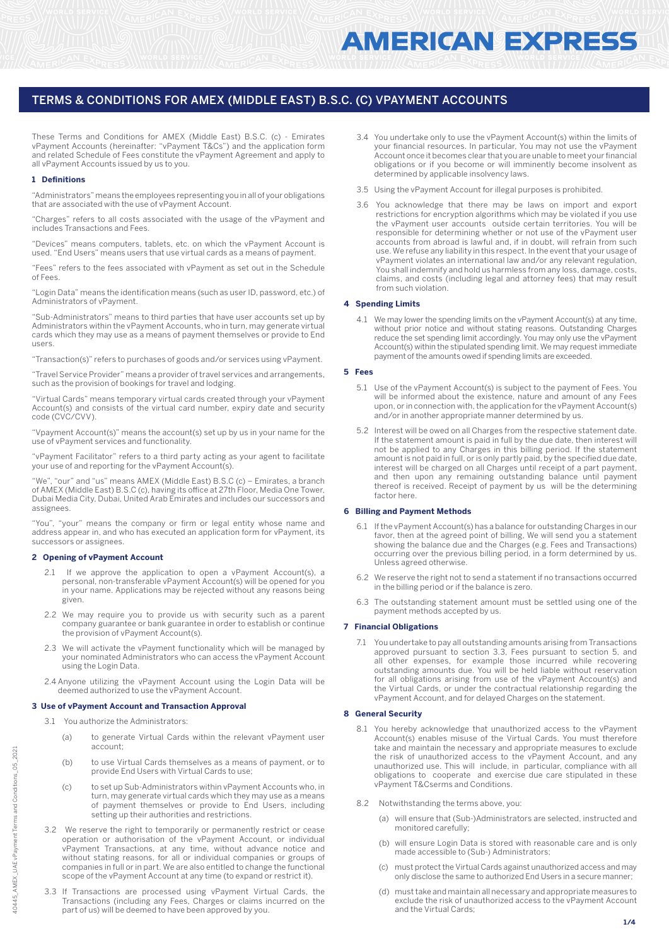These Terms and Conditions for AMEX (Middle East) B.S.C. (c) - Emirates vPayment Accounts (hereinafter: "vPayment T&Cs") and the application form and related Schedule of Fees constitute the vPayment Agreement and apply to all vPayment Accounts issued by us to you.

## **1 Definitions**

"Administrators" means the employees representing you in all of your obligations that are associated with the use of vPayment Account.

"Charges" refers to all costs associated with the usage of the vPayment and includes Transactions and Fees.

"Devices" means computers, tablets, etc. on which the vPayment Account is used. "End Users" means users that use virtual cards as a means of payment.

"Fees" refers to the fees associated with vPayment as set out in the Schedule of Fees.

"Login Data" means the identification means (such as user ID, password, etc.) of Administrators of vPayment.

"Sub-Administrators" means to third parties that have user accounts set up by Administrators within the vPayment Accounts, who in turn, may generate virtual cards which they may use as a means of payment themselves or provide to End users.

"Transaction(s)" refers to purchases of goods and/or services using vPayment.

"Travel Service Provider" means a provider of travel services and arrangements, such as the provision of bookings for travel and lodging.

"Virtual Cards" means temporary virtual cards created through your vPayment Account(s) and consists of the virtual card number, expiry date and security code (CVC/CVV).

"Vpayment Account(s)" means the account(s) set up by us in your name for the use of vPayment services and functionality.

"vPayment Facilitator" refers to a third party acting as your agent to facilitate your use of and reporting for the vPayment Account(s).

"We", "our" and "us" means AMEX (Middle East) B.S.C (c) – Emirates, a branch of AMEX (Middle East) B.S.C (c), having its office at 27th Floor, Media One Tower, Dubai Media City, Dubai, United Arab Emirates and includes our successors and assignees.

"You", "your" means the company or firm or legal entity whose name and address appear in, and who has executed an application form for vPayment, its successors or assignees.

#### **2 Opening of vPayment Account**

- If we approve the application to open a vPayment Account(s), a personal, non-transferable vPayment Account(s) will be opened for you in your name. Applications may be rejected without any reasons being given.
- 2.2 We may require you to provide us with security such as a parent company guarantee or bank guarantee in order to establish or continue the provision of vPayment Account(s).
- 2.3 We will activate the vPayment functionality which will be managed by your nominated Administrators who can access the vPayment Account using the Login Data.
- 2.4 Anyone utilizing the vPayment Account using the Login Data will be deemed authorized to use the vPayment Account.

## **3 Use of vPayment Account and Transaction Approval**

- 3.1 You authorize the Administrators:
	- (a) to generate Virtual Cards within the relevant vPayment user account;
	- (b) to use Virtual Cards themselves as a means of payment, or to provide End Users with Virtual Cards to use;
	- (c) to set up Sub-Administrators within vPayment Accounts who, in turn, may generate virtual cards which they may use as a means of payment themselves or provide to End Users, including setting up their authorities and restrictions.
- 3.2 We reserve the right to temporarily or permanently restrict or cease operation or authorisation of the vPayment Account, or individual vPayment Transactions, at any time, without advance notice and without stating reasons, for all or individual companies or groups of companies in full or in part. We are also entitled to change the functional scope of the vPayment Account at any time (to expand or restrict it).
- 3.3 If Transactions are processed using vPayment Virtual Cards, the Transactions (including any Fees, Charges or claims incurred on the part of us) will be deemed to have been approved by you.
- 3.4 You undertake only to use the vPayment Account(s) within the limits of your financial resources. In particular, You may not use the vPayment Account once it becomes clear that you are unable to meet your financial obligations or if you become or will imminently become insolvent as determined by applicable insolvency laws.
- 3.5 Using the vPayment Account for illegal purposes is prohibited.
- 3.6 You acknowledge that there may be laws on import and export restrictions for encryption algorithms which may be violated if you use the vPayment user accounts outside certain territories. You will be responsible for determining whether or not use of the vPayment user accounts from abroad is lawful and, if in doubt, will refrain from such use. We refuse any liability in this respect. In the event that your usage of vPayment violates an international law and/or any relevant regulation, You shall indemnify and hold us harmless from any loss, damage, costs, claims, and costs (including legal and attorney fees) that may result from such violation

#### **4 Spending Limits**

4.1 We may lower the spending limits on the vPayment Account(s) at any time, without prior notice and without stating reasons. Outstanding Charges reduce the set spending limit accordingly. You may only use the vPayment Account(s) within the stipulated spending limit. We may request immediate payment of the amounts owed if spending limits are exceeded.

#### **5 Fees**

- 5.1 Use of the vPayment Account(s) is subject to the payment of Fees. You will be informed about the existence, nature and amount of any Fees upon, or in connection with, the application for the vPayment Account(s) and/or in another appropriate manner determined by us.
- 5.2 Interest will be owed on all Charges from the respective statement date. If the statement amount is paid in full by the due date, then interest will not be applied to any Charges in this billing period. If the statement amount is not paid in full, or is only partly paid, by the specified due date, interest will be charged on all Charges until receipt of a part payment, and then upon any remaining outstanding balance until payment thereof is received. Receipt of payment by us will be the determining factor here.

#### **6 Billing and Payment Methods**

- 6.1 If the vPayment Account(s) has a balance for outstanding Charges in our favor, then at the agreed point of billing, We will send you a statement showing the balance due and the Charges (e.g. Fees and Transactions) occurring over the previous billing period, in a form determined by us. Unless agreed otherwise.
- 6.2 We reserve the right not to send a statement if no transactions occurred in the billing period or if the balance is zero.
- 6.3 The outstanding statement amount must be settled using one of the payment methods accepted by us.

#### **7 Financial Obligations**

7.1 You undertake to pay all outstanding amounts arising from Transactions approved pursuant to section 3.3, Fees pursuant to section 5, and all other expenses, for example those incurred while recovering outstanding amounts due. You will be held liable without reservation for all obligations arising from use of the vPayment Account(s) and the Virtual Cards, or under the contractual relationship regarding the vPayment Account, and for delayed Charges on the statement.

#### **8 General Security**

- 8.1 You hereby acknowledge that unauthorized access to the vPayment Account(s) enables misuse of the Virtual Cards. You must therefore take and maintain the necessary and appropriate measures to exclude the risk of unauthorized access to the vPayment Account, and any unauthorized use. This will include, in particular, compliance with all obligations to cooperate and exercise due care stipulated in these vPayment T&Cserms and Conditions.
- 8.2 Notwithstanding the terms above, you:
	- (a) will ensure that (Sub-)Administrators are selected, instructed and monitored carefully;
	- (b) will ensure Login Data is stored with reasonable care and is only made accessible to (Sub-) Administrators;
	- (c) must protect the Virtual Cards against unauthorized access and may only disclose the same to authorized End Users in a secure manner;
	- (d) must take and maintain all necessary and appropriate measures to exclude the risk of unauthorized access to the vPayment Account and the Virtual Cards;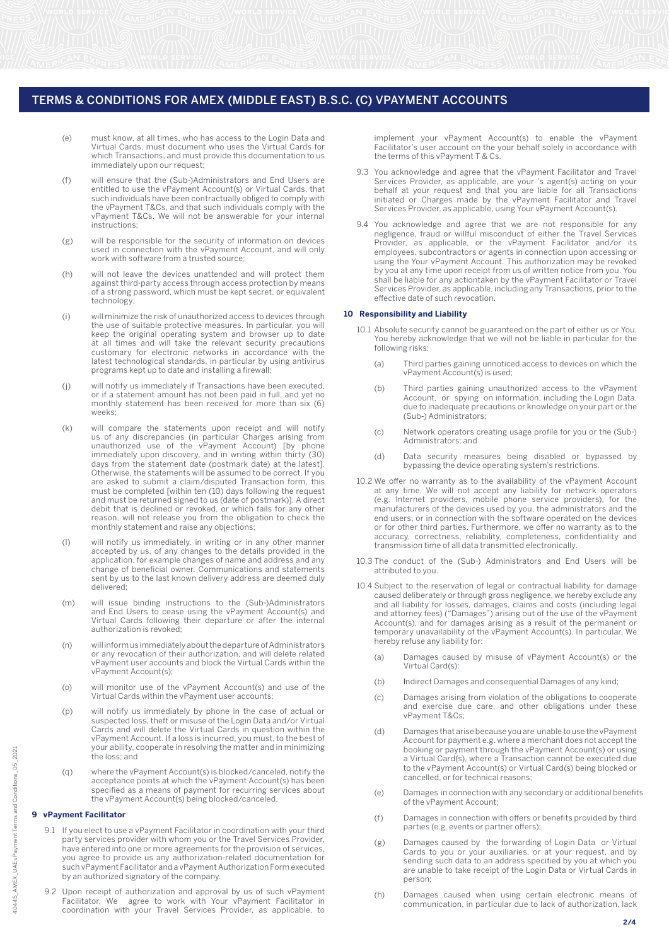- (e) must know, at all times, who has access to the Login Data and Virtual Cards, must document who uses the Virtual Cards for which Transactions, and must provide this documentation to us immediately upon our request;
- (f) will ensure that the (Sub-)Administrators and End Users are entitled to use the vPayment Account(s) or Virtual Cards, that such individuals have been contractually obliged to comply with the vPayment T&Cs, and that such individuals comply with the vPayment T&Cs. We will not be answerable for your internal instructions;
- (g) will be responsible for the security of information on devices used in connection with the vPayment Account, and will only work with software from a trusted source;
- (h) will not leave the devices unattended and will protect them against third-party access through access protection by means of a strong password, which must be kept secret, or equivalent technology;
- (i) will minimize the risk of unauthorized access to devices through the use of suitable protective measures. In particular, you will keep the original operating system and browser up to date at all times and will take the relevant security precautions customary for electronic networks in accordance with the latest technological standards, in particular by using antivirus programs kept up to date and installing a firewall;
- (j) will notify us immediately if Transactions have been executed, or if a statement amount has not been paid in full, and yet no monthly statement has been received for more than six (6) weeks;
- (k) will compare the statements upon receipt and will notify us of any discrepancies (in particular Charges arising from unauthorized use of the vPayment Account) [by phone immediately upon discovery, and in writing within thirty (30) days from the statement date (postmark date) at the latest]. Otherwise, the statements will be assumed to be correct. If you are asked to submit a claim/disputed Transaction form, this must be completed [within ten (10) days following the request and must be returned signed to us (date of postmark)]. A direct debit that is declined or revoked, or which fails for any other reason, will not release you from the obligation to check the monthly statement and raise any objections;
- (l) will notify us immediately, in writing or in any other manner accepted by us, of any changes to the details provided in the application, for example changes of name and address and any change of beneficial owner. Communications and statements sent by us to the last known delivery address are deemed duly delivered;
- (m) will issue binding instructions to the (Sub-)Administrators and End Users to cease using the vPayment Account(s) and Virtual Cards following their departure or after the internal authorization is revoked;
- (n) will inform us immediately about the departure of Administrators or any revocation of their authorization, and will delete related vPayment user accounts and block the Virtual Cards within the vPayment Account(s);
- (o) will monitor use of the vPayment Account(s) and use of the Virtual Cards within the vPayment user accounts;
- (p) will notify us immediately by phone in the case of actual or suspected loss, theft or misuse of the Login Data and/or Virtual Cards and will delete the Virtual Cards in question within the vPayment Account. If a loss is incurred, you must, to the best of your ability, cooperate in resolving the matter and in minimizing the loss; and
- (q) where the vPayment Account(s) is blocked/canceled, notify the acceptance points at which the vPayment Account(s) has been specified as a means of payment for recurring services about the vPayment Account(s) being blocked/canceled.

#### **9 vPayment Facilitator**

- 9.1 If you elect to use a vPayment Facilitator in coordination with your third party services provider with whom you or the Travel Services Provider, have entered into one or more agreements for the provision of services, you agree to provide us any authorization-related documentation for such vPayment Facilitator and a vPayment Authorization Form executed by an authorized signatory of the company.
- 9.2 Upon receipt of authorization and approval by us of such vPayment Facilitator, We agree to work with Your vPayment Facilitator in coordination with your Travel Services Provider, as applicable, to

implement your vPayment Account(s) to enable the vPayment Facilitator's user account on the your behalf solely in accordance with the terms of this vPayment T & Cs.

- 9.3 You acknowledge and agree that the vPayment Facilitator and Travel Services Provider, as applicable, are your 's agent(s) acting on your behalf at your request and that you are liable for all Transactions initiated or Charges made by the vPayment Facilitator and Travel Services Provider, as applicable, using Your vPayment Account(s).
- 9.4 You acknowledge and agree that we are not responsible for any negligence, fraud or willful misconduct of either the Travel Services Provider, as applicable, or the vPayment Facilitator and/or its employees, subcontractors or agents in connection upon accessing or using the Your vPayment Account. This authorization may be revoked by you at any time upon receipt from us of written notice from you. You shall be liable for any actiontaken by the vPayment Facilitator or Travel Services Provider, as applicable, including any Transactions, prior to the effective date of such revocation.

#### **10 Responsibility and Liability**

- 10.1 Absolute security cannot be guaranteed on the part of either us or You. You hereby acknowledge that we will not be liable in particular for the following risks:
	- (a) Third parties gaining unnoticed access to devices on which the vPayment Account(s) is used;
- (b) Third parties gaining unauthorized access to the vPayment Account, or spying on information, including the Login Data, due to inadequate precautions or knowledge on your part or the (Sub-) Administrators;
	- Network operators creating usage profile for you or the (Sub-) Administrators; and  $(c)$
	- (d) Data security measures being disabled or bypassed by bypassing the device operating system's restrictions.
	- 10.2 We offer no warranty as to the availability of the vPayment Account at any time. We will not accept any liability for network operators (e.g. Internet providers, mobile phone service providers), for the manufacturers of the devices used by you, the administrators and the end users, or in connection with the software operated on the devices or for other third parties. Furthermore, we offer no warranty as to the accuracy, correctness, reliability, completeness, confidentiality and transmission time of all data transmitted electronically.
	- 10.3 The conduct of the (Sub-) Administrators and End Users will be attributed to you.
	- 10.4 Subject to the reservation of legal or contractual liability for damage caused deliberately or through gross negligence, we hereby exclude any and all liability for losses, damages, claims and costs (including legal and attorney fees) ("Damages") arising out of the use of the vPayment Account(s), and for damages arising as a result of the permanent or temporary unavailability of the vPayment Account(s). In particular, We hereby refuse any liability for:
		- (a) Damages caused by misuse of vPayment Account(s) or the Virtual Card(s);
		- (b) Indirect Damages and consequential Damages of any kind;
		- (c) Damages arising from violation of the obligations to cooperate and exercise due care, and other obligations under these vPayment T&Cs;
		- (d) Damages that arise because you are unable to use the vPayment Account for payment e.g. where a merchant does not accept the booking or payment through the vPayment Account(s) or using a Virtual Card(s), where a Transaction cannot be executed due to the vPayment Account(s) or Virtual Card(s) being blocked or cancelled, or for technical reasons;
		- (e) of the vPayment Account; Damagesin connection with any secondary or additional benefits
		- (f) Damages in connection with offers or benefits provided by third parties (e.g. events or partner offers);
		- (g) Damages caused by the forwarding of Login Data or Virtual Cards to you or your auxiliaries, or at your request, and by sending such data to an address specified by you at which you are unable to take receipt of the Login Data or Virtual Cards in person;
		- (h) Damages caused when using certain electronic means of communication, in particular due to lack of authorization, lack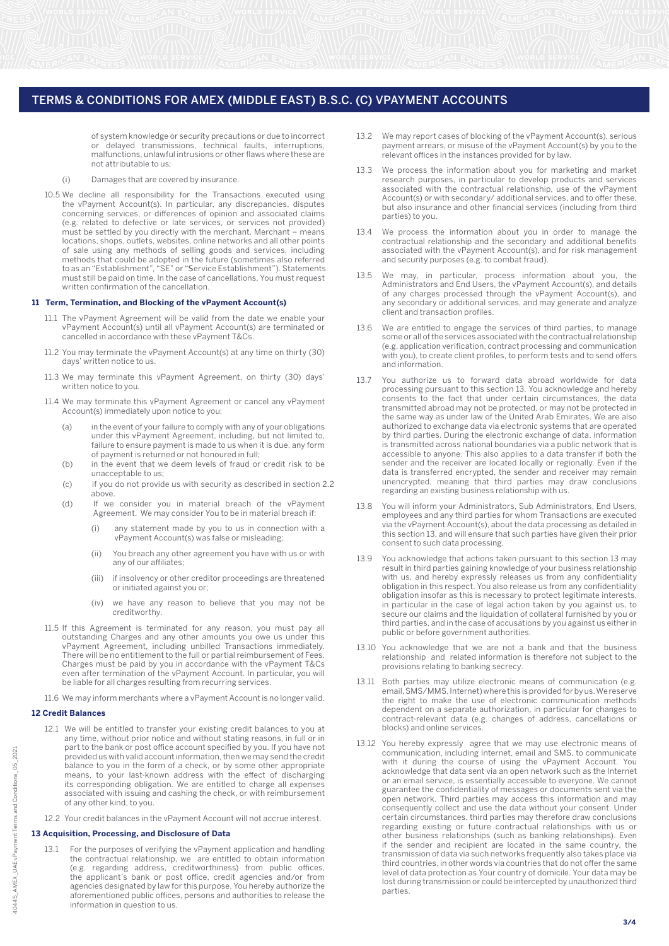of system knowledge or security precautions or due to incorrect or delayed transmissions, technical faults, interruptions, malfunctions, unlawful intrusions or other flaws where these are not attributable to us;

- (i) Damages that are covered by insurance.
- 10.5 We decline all responsibility for the Transactions executed using the vPayment Account(s). In particular, any discrepancies, disputes concerning services, or differences of opinion and associated claims (e.g. related to defective or late services, or services not provided) must be settled by you directly with the merchant. Merchant – means locations, shops, outlets, websites, online networks and all other points methods that could be adopted in the future (sometimes also referred must still be paid on time. In the case of cancellations, You must request written confirmation of the cancellation. to as an "Establishment", "SE" or "Service Establishment"). Statements of sale using any methods of selling goods and services, including

#### **11 Term, Termination, and Blocking of the vPayment Account(s)**

- 11.1 The vPayment Agreement will be valid from the date we enable your vPayment Account(s) until all vPayment Account(s) are terminated or cancelled in accordance with these vPayment T&Cs.
- 11.2 You may terminate the vPayment Account(s) at any time on thirty (30) days' written notice to us.
- 11.3 We may terminate this vPayment Agreement, on thirty (30) days' written notice to you.
- 11.4 We may terminate this vPayment Agreement or cancel any vPayment Account(s) immediately upon notice to you:
- (a) in the event of your failure to comply with any of your obligations under this vPayment Agreement, including, but not limited to, failure to ensure payment is made to us when it is due, any form of payment is returned or not honoured in full;
	- (b) in the event that we deem levels of fraud or credit risk to be unacceptable to us;
	- above. (c) if you do not provide us with security as described in section 2.2
	- (d) If we consider you in material breach of the vPayment Agreement. We may consider You to be in material breach if:
		- any statement made by you to us in connection with a vPayment Account(s) was false or misleading; (i)
		- (ii) You breach any other agreement you have with us or with any of our affiliates;
		- (iii) if insolvency or other creditor proceedings are threatened or initiated against you or;
		- (iv) we have any reason to believe that you may not be creditworthy.
	- 11.5 If this Agreement is terminated for any reason, you must pay all outstanding Charges and any other amounts you owe us under this vPayment Agreement, including unbilled Transactions immediately. There will be no entitlement to the full or partial reimbursement of Fees. Charges must be paid by you in accordance with the vPayment T&Cs even after termination of the vPayment Account. In particular, you will be liable for all charges resulting from recurring services.

11.6 We may inform merchants where a vPayment Account is no longer valid.

#### **12 Credit Balances**

- 12.1 We will be entitled to transfer your existing credit balances to you at any time, without prior notice and without stating reasons, in full or in part to the bank or post office account specified by you. If you have not provided us with valid account information, then we may send the credit balance to you in the form of a check, or by some other appropriate means, to your last-known address with the effect of discharging its corresponding obligation. We are entitled to charge all expenses associated with issuing and cashing the check, or with reimbursement of any other kind, to you.
- 12.2 Your credit balances in the vPayment Account will not accrue interest.

# **13 Acquisition, Processing, and Disclosure of Data**

13.1 For the purposes of verifying the vPayment application and handling the contractual relationship, we are entitled to obtain information (e.g. regarding address, creditworthiness) from public offices, the applicant's bank or post office, credit agencies and/or from agencies designated by law for this purpose. You hereby authorize the aforementioned public offices, persons and authorities to release the information in question to us.

- 13.2 We may report cases of blocking of the vPayment Account(s), serious payment arrears, or misuse of the vPayment Account(s) by you to the relevant offices in the instances provided for by law.
- 13.3 We process the information about you for marketing and market research purposes, in particular to develop products and services associated with the contractual relationship, use of the vPayment Account(s) or with secondary/ additional services, and to offer these, but also insurance and other financial services (including from third parties) to you.
- 13.4 We process the information about you in order to manage the contractual relationship and the secondary and additional benefits associated with the vPayment Account(s), and for risk management and security purposes (e.g. to combat fraud).
- 13.5 We may, in particular, process information about you, the Administrators and End Users, the vPayment Account(s), and details of any charges processed through the vPayment Account(s), and any secondary or additional services, and may generate and analyze client and transaction profiles.
- 13.6 We are entitled to engage the services of third parties, to manage some or all of the services associated with the contractual relationship (e.g. application verification, contract processing and communication with you), to create client profiles, to perform tests and to send offers and information.
- 13.7 You authorize us to forward data abroad worldwide for data processing pursuant to this section 13. You acknowledge and hereby consents to the fact that under certain circumstances, the data transmitted abroad may not be protected, or may not be protected in the same way as under law of the United Arab Emirates. We are also authorized to exchange data via electronic systems that are operated by third parties. During the electronic exchange of data, information is transmitted across national boundaries via a public network that is accessible to anyone. This also applies to a data transfer if both the sender and the receiver are located locally or regionally. Even if the data is transferred encrypted, the sender and receiver may remain unencrypted, meaning that third parties may draw conclusions regarding an existing business relationship with us.
- 13.8 You will inform your Administrators, Sub Administrators, End Users, employees and any third parties for whom Transactions are executed via the vPayment Account(s), about the data processing as detailed in this section 13, and will ensure that such parties have given their prior consent to such data processing.
- 13.9 You acknowledge that actions taken pursuant to this section 13 may result in third parties gaining knowledge of your business relationship with us, and hereby expressly releases us from any confidentiality obligation in this respect. You also release us from any confidentiality obligation insofar as this is necessary to protect legitimate interests, in particular in the case of legal action taken by you against us, to secure our claims and the liquidation of collateral furnished by you or third parties, and in the case of accusations by you against us either in public or before government authorities.
- 13.10 You acknowledge that we are not a bank and that the business relationship and related information is therefore not subject to the provisions relating to banking secrecy.
- 13.11 Both parties may utilize electronic means of communication (e.g. email, SMS/MMS, Internet) where this is provided for by us. We reserve the right to make the use of electronic communication methods dependent on a separate authorization, in particular for changes to contract-relevant data (e.g. changes of address, cancellations or blocks) and online services.
- 13.12 You hereby expressly agree that we may use electronic means of communication, including Internet, email and SMS, to communicate with it during the course of using the vPayment Account. You acknowledge that data sent via an open network such as the Internet or an email service, is essentially accessible to everyone. We cannot guarantee the confidentiality of messages or documents sent via the open network. Third parties may access this information and may consequently collect and use the data without your consent. Under certain circumstances, third parties may therefore draw conclusions regarding existing or future contractual relationships with us or other business relationships (such as banking relationships). Even if the sender and recipient are located in the same country, the transmission of data via such networks frequently also takes place via third countries, in other words via countries that do not offer the same level of data protection as Your country of domicile. Your data may be lost during transmission or could be intercepted by unauthorized third parties.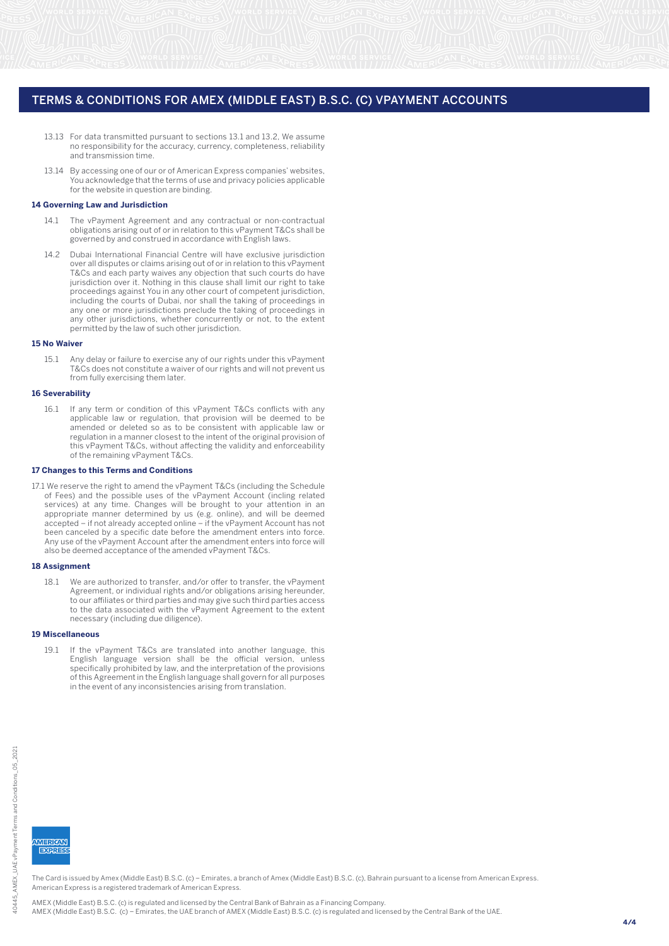- 13.13 For data transmitted pursuant to sections 13.1 and 13.2, We assume no responsibility for the accuracy, currency, completeness, reliability and transmission time.
- 13.14 By accessing one of our or of American Express companies' websites, You acknowledge that the terms of use and privacy policies applicable for the website in question are binding.

#### **14 Governing Law and Jurisdiction**

- 14.1 The vPayment Agreement and any contractual or non-contractual obligations arising out of or in relation to this vPayment T&Cs shall be governed by and construed in accordance with English laws.
- 14.2 Dubai International Financial Centre will have exclusive jurisdiction over all disputes or claims arising out of or in relation to this vPayment T&Cs and each party waives any objection that such courts do have jurisdiction over it. Nothing in this clause shall limit our right to take proceedings against You in any other court of competent jurisdiction, including the courts of Dubai, nor shall the taking of proceedings in any one or more jurisdictions preclude the taking of proceedings in any other jurisdictions, whether concurrently or not, to the extent permitted by the law of such other jurisdiction.

#### **15 No Waiver**

15.1 Any delay or failure to exercise any of our rights under this vPayment T&Cs does not constitute a waiver of our rights and will not prevent us from fully exercising them later.

#### **16 Severability**

16.1 If any term or condition of this vPayment T&Cs conflicts with any applicable law or regulation, that provision will be deemed to be amended or deleted so as to be consistent with applicable law or regulation in a manner closest to the intent of the original provision of this vPayment T&Cs, without affecting the validity and enforceability of the remaining vPayment T&Cs.

#### **17 Changes to this Terms and Conditions**

17.1 We reserve the right to amend the vPayment T&Cs (including the Schedule of Fees) and the possible uses of the vPayment Account (incling related services) at any time. Changes will be brought to your attention in an appropriate manner determined by us (e.g. online), and will be deemed accepted – if not already accepted online – if the vPayment Account has not been canceled by a specific date before the amendment enters into force. Any use of the vPayment Account after the amendment enters into force will also be deemed acceptance of the amended vPayment T&Cs.

#### **18 Assignment**

18.1 We are authorized to transfer, and/or offer to transfer, the vPayment Agreement, or individual rights and/or obligations arising hereunder, to our affiliates or third parties and may give such third parties access to the data associated with the vPayment Agreement to the extent necessary (including due diligence).

## **19 Miscellaneous**

19.1 If the vPayment T&Cs are translated into another language, this English language version shall be the official version, unless specifically prohibited by law, and the interpretation of the provisions of this Agreement in the English language shall govern for all purposes in the event of any inconsistencies arising from translation.

**MERICAN**  $EXERF$ 

The Card is issued by Amex (Middle East) B.S.C. (c) – Emirates, a branch of Amex (Middle East) B.S.C. (c), Bahrain pursuant to a license from American Express. American Express is a registered trademark of American Express.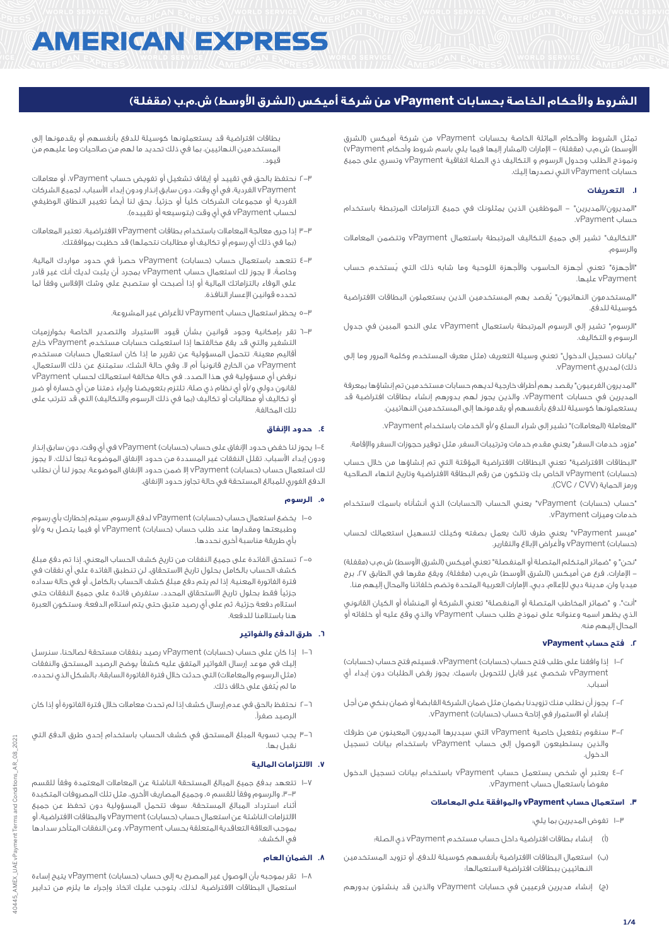# **AMERICAN EXPRESS**

# **الشروط واألحكام الخاصة بحسابات vPayment من شركة أميكس )الشرق األوسط( ش.م.ب )مقفلة(**

تمثل الشروط واألحكام الماثلة الخاصة بحسابات vPayment من شركة أميكس )الشرق الأوسط) ش.م.ب (مقفلة) – الإمارات (المشار إليها فيما يلي باسم شروط وأحكام vPayment) ونموذج الطلب وجدول الرسوم و التكاليف ذي الصلة اتفاقية vPayment وتسري على جميع حسابات vPayment التي نصدرها إليك.

# **.١ التعريفات**

"المديرون/المديرين" - الموظفين الذين يمثلونك في جميع التزاماتك المرتبطة باستخدام حساب vPayment.

"التكاليف" تشير إلى جميع التكاليف المرتبطة باستعمال vPayment وتتضمن المعامالت والرسوم.

"األجهزة" تعني أجهزة الحاسوب واألجهزة اللوحية وما شابه ذلك التي يُستخدم حساب vPayment عليها.

"المستخدمون النهائيون" يُقصد بهم المستخدمين الذين يستعملون البطاقات االفتراضية كوسيلة للدفع.

"الرسوم" تشير إلى الرسوم المرتبطة باستعمال vPayment على النحو المبين في جدول الرسوم و التكاليف.

"بيانات تسجيل الدخول" تعني وسيلة التعريف )مثل معرف المستخدم وكلمة المرور وما إلى ذلك) لمديري vPayment.

"المديرون الفرعيون" يقصد بهم أطراف خارجية لديهم حسابات مستخدمين تم إنشاؤها بمعرفة المديرين في حسابات vPayment، والذين يجوز لهم بدورهم إنشاء بطاقات افتراضية قد يستعملونها كوسيلة للدفع بأنفسهم أو يقدمونها إلى المستخدمين النهائيين.

"المعاملة )المعامالت(" تشير إلى شراء السلع و/أو الخدمات باستخدام vPayment.

"مزود خدمات السفر" يعني مقدم خدمات وترتيبات السفر، مثل توفير حجوزات السفر واإلقامة.

"البطاقات االفتراضية" تعني البطاقات االفتراضية المؤقتة التي تم إنشاؤها من خالل حساب (حسابات) vPayment الخاص بك وتتكون من رقم البطاقة الافتراضية وتاريخ انتهاء الصالحية ورمز الحماية (CVC / CVV).

'حساب (حسابات) vPayment" يعني الحساب (الحسابات) الذي أنشأناه باسمك لاستخدام خدمات وميزات vPayment.

"ميسر vPayment "يعني طرف ثالث يعمل بصفته وكيلك لتسهيل استعمالك لحساب )حسابات( vPayment وألغراض اإلبالغ والتقارير.

"نحن" و "ضمائر المتكلم المتصلة أو المنفصلة" تعني أميكس (الشرق الأوسط) ش.م.ب (مقفلة) - الإمارات، فرع من أميكس (الشرق الأوسط) ش.م.ب (مقفلة)، ويقع مقرها في الطابق ٢٧، برج ميديا وان، مدينة دبي لإلعالم، دبي، اإلمارات العربية المتحدة وتضم خلفائنا والمحال إليهم منا.

"أنت"، و "ضمائر المخاطب المتصلة أو المنفصلة" تعني الشركة أو المنشأة أو الكيان القانوني الذي يظهر اسمه وعنوانه على نموذج طلب حساب vPayment والذي وقع عليه أو خلفائه أو المحال إليهم منه.

## **.٢ فتح حساب vPayment**

- 1-2 إذا وافقنا على طلب فتح حساب )حسابات( vPayment، فسيتم فتح حساب )حسابات( vPayment شخصي غير قابل للتحويل باسمك. يجوز رفض الطلبات دون إبداء أي أسباب.
- 2-2 يجوز أن نطلب منك تزويدنا بضمان مثل ضمان الشركة القابضة أو ضمان بنكي من أجل إنشاء أو االستمرار في إتاحة حساب )حسابات( vPayment.
- 3-2 سنقوم بتفعيل خاصية vPayment التي سيديرها المديرون المعينون من طرفك والذين يستطيعون الوصول إلى حساب vPayment باستخدام بيانات تسجيل الدخول.
- 4-2 يعتبر أي شخص يستعمل حساب vPayment باستخدام بيانات تسجيل الدخول مفوضاً باستعمال حساب vPayment.

# **.٣ استعمال حساب vPayment والموافقة على المعامالت**

1-3 تفوض المديرين بما يلي:

- )أ( إنشاء بطاقات افتراضية داخل حساب مستخدم vPayment ذي الصلة؛
- )ب( استعمال البطاقات االفتراضية بأنفسهم كوسيلة للدفع، أو تزويد المستخدمين النهائيين ببطاقات افتراضية الستعمالها؛
- )ج( إنشاء مديرين فرعيين في حسابات vPayment والذين قد ينشئون بدورهم

بطاقات افتراضية قد يستعملونها كوسيلة للدفع بأنفسهم أو يقدمونها إلى المستخدمين النهائيين، بما في ذلك تحديد ما لهم من صالحيات وما عليهم من قيود.

- 2-3 نحتفظ بالحق في تقييد أو إيقاف تشغيل أو تفويض حساب vPayment، أو معامالت vPayment الفردية، في أي وقت، دون سابق إنذار ودون إبداء األسباب، لجميع الشركات الفردية أو مجموعات الشركات كلياً أو جزئيا.ً يحق لنا أيضاً تغيير النطاق الوظيفي لحساب vPayment في أي وقت )بتوسيعه أو تقييده(.
- 3-3 إذا جرى معالجة المعامالت باستخدام بطاقات vPayment االفتراضية، تعتبر المعامالت (بما في ذلك أي رسوم أو تكاليف أو مطالبات نتحملها) قد حظيت بموافقتك.
- 4-3 تتعهد باستعمال حساب )حسابات( vPayment حصراً في حدود مواردك المالية. وخاصةً ، ال يجوز لك استعمال حساب vPayment بمجرد أن يثبت لديك أنك غير قادر .<br>على الوفاء بالتزاماتك المالية أو إذا أصبحت أو ستصبح على وشك الإفلاس وفقاً لما تحدده قوانين اإلعسار النافذة.
	- 5-3 يحظر استعمال حساب vPayment لألغراض غير المشروعة.
- 6-3 تقر بإمكانية وجود قوانين بشأن قيود االستيراد والتصدير الخاصة بخوارزميات التشفير والتي قد يقع مخالفتها إذا استعملت حسابات مستخدم vPayment خارج أقاليم معينة. تتحمل المسؤولية عن تقرير ما إذا كان استعمال حسابات مستخدم vPayment من الخارج قانونياً أم ال، وفي حالة الشك، ستمتنع عن ذلك االستعمال. نرفض أي مسؤولية في هذا الصدد. في حالة مخالفة استعمالك لحساب vPayment لقانون دولي و/أو أي نظام ذي صلة، تلتزم بتعويضنا وإبراء ذمتنا من أي خسارة أو ضرر أو تكاليف أو مطالبات أو تكاليف (بما في ذلك الرسوم والتكاليف) التي قد تترتب على تلك المخالفة.

# **.٤ حدود اإلنفاق**

1-4 يجوز لنا خفض حدود اإلنفاق على حساب )حسابات( vPayment في أي وقت، دون سابق إنذار ودون إبداء األسباب. تقلل النفقات غير المسددة من حدود اإلنفاق الموضوعة تبعاً لذلك. ال يجوز لك استعمال حساب )حسابات( vPayment إال ضمن حدود اإلنفاق الموضوعة. يجوز لنا أن نطلب الدفع الفوري للمبالغ المستحقة في حالة تجاوز حدود اإلنفاق.

# **.٥ الرسوم**

- 1-5 يخضع استعمال حساب )حسابات( vPayment لدفع الرسوم. سيتم إخطارك بأي رسوم وطبيعتها ومقدارها عند طلب حساب )حسابات( vPayment أو فيما يتصل به و/أو بأي طريقة مناسبة أخرى نحددها.
- 2-5 تستحق الفائدة على جميع النفقات من تاريخ كشف الحساب المعني. إذا تم دفع مبلغ كشف الحساب بالكامل بحلول تاريخ االستحقاق، لن تنطبق الفائدة على أي نفقات في فترة الفاتورة المعنية. إذا لم يتم دفع مبلغ كشف الحساب بالكامل، أو في حالة سداده جزئياً فقط بحلول تاريخ االستحقاق المحدد، ستفرض فائدة على جميع النفقات حتى استالم دفعة جزئية، ثم على أي رصيد متبقٍ حتى يتم استالم الدفعة. وستكون العبرة هنا باستالمنا للدفعة.

# **.٦ طرق الدفع والفواتير**

- 1-6 إذا كان على حساب )حسابات( vPayment رصيد بنفقات مستحقة لصالحنا، سنرسل إليك في موعد إرسال الفواتير المتفق عليه كشفاً يوضح الرصيد المستحق والنفقات (مثل الرسوم والمعاملات) التي حدثت خلال فترة الفاتورة السابقة، بالشكل الذي نحدده، ما لم يُتفق على خالف ذلك.
- 2-6 نحتفظ بالحق في عدم إرسال كشف إذا لم تحدث معامالت خالل فترة الفاتورة أو إذا كان الرصيد صفرا.ً
- 3-6 يجب تسوية المبلغ المستحق في كشف الحساب باستخدام إحدى طرق الدفع التي نقبل بها.

#### **.٧ االلتزامات المالية**

1-7 تتعهد بدفع جميع المبالغ المستحقة الناشئة عن المعامالت المعتمدة وفقاً للقسم ،3-3 والرسوم وفقاً للقسم ،5 وجميع المصاريف األخرى، مثل تلك المصروفات المتكبدة أثناء استرداد المبالغ المستحقة. سوف تتحمل المسؤولية دون تحفظ عن جميع االلتزامات الناشئة عن استعمال حساب )حسابات( vPayment والبطاقات االفتراضية، أو بموجب العالقة التعاقدية المتعلقة بحساب vPayment، وعن النفقات المتأخر سدادها في الكشف.

#### **.٨ الضمان العام**

1-8 تقر بموجبه بأن الوصول غير المصرح به إلى حساب )حسابات( vPayment يتيح إساءة استعمال البطاقات االفتراضية. لذلك، يتوجب عليك اتخاذ وإجراء ما يلزم من تدابير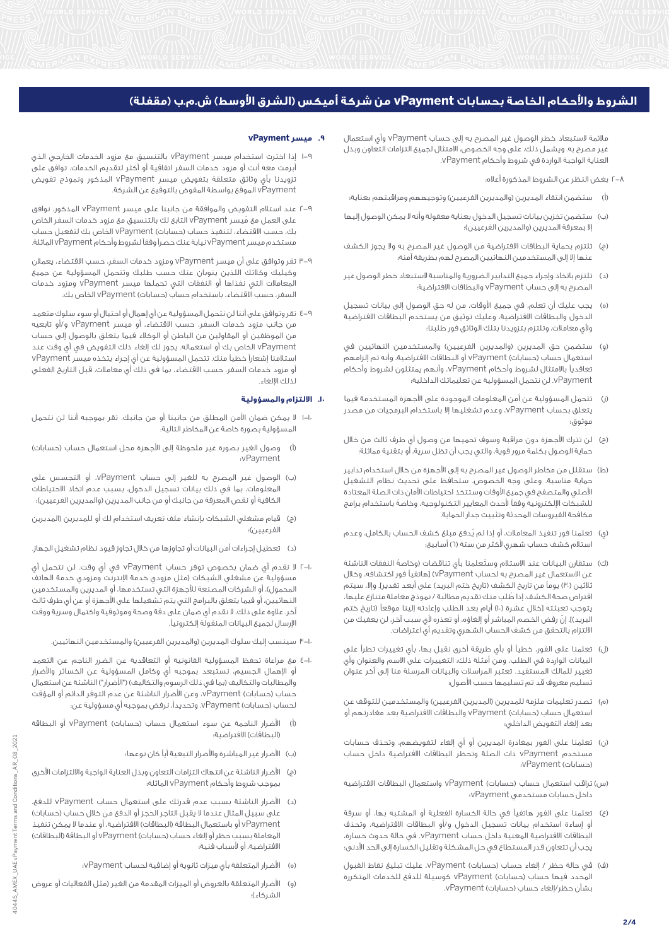# **الشروط واألحكام الخاصة بحسابات vPayment من شركة أميكس )الشرق األوسط( ش.م.ب )مقفلة(**

مالئمة الستبعاد خطر الوصول غير المصرح به إلى حساب vPayment وأي استعمال غير مصرح به. ويشمل ذلك، على وجه الخصوص، االمتثال لجميع التزامات التعاون وبذل العناية الواجبة الواردة في شروط وأحكام vPayment.

2-8 بغض النظر عن الشروط المذكورة أعاله:

- )أ( ستضمن انتقاء المديرين )والمديرين الفرعيين( وتوجيههم ومراقبتهم بعناية؛
- )ب( ستضمن تخزين بيانات تسجيل الدخول بعناية معقولة وأنه ال يمكن الوصول إليها إلا بمعرفة المديرين (والمديرين الفرعيين)؛
- )ج( تلتزم بحماية البطاقات االفتراضية من الوصول غير المصرح به وال يجوز الكشف عنها إال إلى المستخدمين النهائيين المصرح لهم بطريقة آمنة؛
- )د( تلتزم باتخاذ وإجراء جميع التدابير الضرورية والمناسبة الستبعاد خطر الوصول غير المصرح به إلى حساب vPayment والبطاقات االفتراضية؛
- )ه( يجب عليك أن تعلم، في جميع األوقات، من له حق الوصول إلى بيانات تسجيل الدخول والبطاقات االفتراضية، وعليك توثيق من يستخدم البطاقات االفتراضية وألي معامالت، وتلتزم بتزويدنا بتلك الوثائق فور طلبنا؛
- (و) ستضمن حق المديرين (والمديرين الفرعيين) والمستخدمين النهائيين في استعمال حساب )حسابات( vPayment أو البطاقات االفتراضية، وأنه تم إلزامهم تعاقدياً باالمتثال لشروط وأحكام vPayment، وأنهم يمتثلون لشروط وأحكام vPayment. لن نتحمل المسؤولية عن تعليماتك الداخلية؛
- )ز( تتحمل المسؤولية عن أمن المعلومات الموجودة على األجهزة المستخدمة فيما يتعلق بحساب vPayment، وعدم تشغليها إال باستخدام البرمجيات من مصدر موثوق؛
- )ح( لن تترك األجهزة دون مراقبة وسوف تحميها من وصول أي طرف ثالث من خالل حماية الوصول بكلمة مرور قوية، والتي يجب أن تظل سرية، أو بتقنية مماثلة؛
- )ط( ستقلل من مخاطر الوصول غير المصرح به إلى األجهزة من خالل استخدام تدابير حماية مناسبة. وعلى وجه الخصوص، ستحافظ على تحديث نظام التشغيل األصلي والمتصفح في جميع األوقات وستتخذ احتياطات األمان ذات الصلة المعتادة للشبكات اإللكترونية وفقاً ألحدث المعايير التكنولوجية، وخاصةً باستخدام برامج مكافحة الفيروسات المحدثة وتثبيت جدار الحماية.
- )ي( تعلمنا فور تنفيذ المعامالت، أو إذا لم يُدفع مبلغ كشف الحساب بالكامل، وعدم استلام كشف حساب شهري لأكثر من ستة (٦) أسابيع؛
- (ك) ستقارن البيانات عند الاستلام وستُعلمنا بأي تناقضات (وخاصةً النفقات الناشئة عن االستعمال غير المصرح به لحساب vPayment[ )هاتفياً فور اكتشافه، وخالل ثلاثين (٣٠) يوماً من تاريخ الكشف (تاريخ ختم البريد) على أبعد تقدير]. وإلا، سيتم افتراض صحة الكشف. إذا طُلب منك تقديم مطالبة / نموذج معاملة متنازع عليها، يتوجب تعبئته [خلال عشرة (١٠) أيام بعد الطلب وإعادته إلينا موقعاً (تاريخ ختم البريد)]. إنّ رفض الخصم المباشر أو إلغاؤه، أو تعذره لأي سبب آخر، لن يعفيك من االلتزام بالتحقق من كشف الحساب الشهري وتقديم أي اعتراضات.
- )ل( تعلمنا على الفور، خطياً أو بأي طريقة أخرى نقبل بها، بأي تغييرات تطرأ على البيانات الواردة في الطلب، ومن أمثلة ذلك: التغييرات على االسم والعنوان وأي تغيير للمالك المستفيد. تعتبر المراسالت والبيانات المرسلة منا إلى آخر عنوان تسليم معروف قد تم تسليمها حسب األصول؛
- (م) تصدر تعليمات ملزمة للمديرين (المديرين الفرعيين) والمستخدمين للتوقف عن استعمال حساب (حسابات) vPayment والبطاقات الافتراضية بعد مغادرتهم أو بعد إلغاء التفويض الداخلي؛
- )ن( تعلمنا على الفور بمغادرة المديرين أو أي إلغاء لتفويضهم، وتحذف حسابات مستخدم vPayment ذات الصلة وتحظر البطاقات االفتراضية داخل حساب )حسابات( vPayment؛
- )س( تراقب استعمال حساب )حسابات( vPayment واستعمال البطاقات االفتراضية داخل حسابات مستخدمي vPayment؛
- )ع( تعلمنا على الفور هاتفياً في حالة الخسارة الفعلية أو المشتبه بها، أو سرقة أو إساءة استخدام بيانات تسجيل الدخول و/أو البطاقات االفتراضية، وتحذف البطاقات االفتراضية المعنية داخل حساب vPayment. في حالة حدوث خسارة، يجب أن تتعاون قدر المستطاع في حل المشكلة وتقليل الخسارة إلى الحد األدنى؛
- )ف( في حالة حظر / إلغاء حساب )حسابات( vPayment، عليك تبليغ نقاط القبول المحدد فيها حساب )حسابات( vPayment كوسيلة للدفع للخدمات المتكررة بشأن حظر/إلغاء حساب )حسابات( vPayment.

## **.٩ ميسر vPayment**

- 1-9 إذا اخترت استخدام ميسر vPayment بالتنسيق مع مزود الخدمات الخارجي الذي أبرمت معه أنت أو مزود خدمات السفر اتفاقية أو أكثر لتقديم الخدمات، توافق على تزويدنا بأي وثائق متعلقة بتفويض ميسر vPayment المذكور ونموذج تفويض vPayment الموقع بواسطة المفوض بالتوقيع عن الشركة.
- 2-9 عند استالم التفويض والموافقة من جانبنا على ميسر vPayment المذكور، نوافق على العمل مع مُ يسر vPayment التابع لك بالتنسيق مع مزود خدمات السفر الخاص بك، حسب االقتضاء، لتنفيذ حساب )حسابات( vPayment الخاص بك لتفعيل حساب مستخدم ميسر vPayment نيابة عنك حصراً وفقاً لشروط وأحكام vPayment الماثلة.
- 3-9 تقر وتوافق على أن ميسر vPayment ومزود خدمات السفر، حسب االقتضاء، يعمالن وكيليك وكالئك اللذين ينوبان عنك حسب طلبك وتتحمل المسؤولية عن جميع المعامالت التي نفذاها أو النفقات التي تحملها ميسر vPayment ومزود خدمات السفر، حسب االقتضاء، باستخدام حساب )حسابات( vPayment الخاص بك.
- 4-9 تقر وتوافق على أننا لن نتحمل المسؤولية عن أي إهمال أو احتيال أو سوء سلوك متعمد من جانب مزود خدمات السفر، حسب االقتضاء، أو ميسر vPayment و/أو تابعيه من الموظفين أو المقاولين من الباطن أو الوكالء فيما يتعلق بالوصول إلى حساب vPayment الخاص بك أو استعماله. يجوز لك إلغاء ذلك التفويض في أي وقت عند استالمنا إشعاراً خطياً منك. تتحمل المسؤولية عن أي إجراء يتخذه ميسر vPayment أو مزود خدمات السفر، حسب االقتضاء، بما في ذلك أي معامالت، قبل التاريخ الفعلي لذلك اإللغاء.

## **.١٠ االلتزام والمسؤولية**

- 1-10 ال يمكن ضمان األمن المطلق من جانبنا أو من جانبك. تقر بموجبه أننا لن نتحمل المسؤولية بصورة خاصة عن المخاطر التالية:
- )أ( وصول الغير بصورة غير ملحوظة إلى األجهزة محل استعمال حساب )حسابات( vPayment؛
- )ب( الوصول غير المصرح به للغير إلى حساب vPayment، أو التجسس على المعلومات، بما في ذلك بيانات تسجيل الدخول، بسبب عدم اتخاذ االحتياطات الكافية أو نقص المعرفة من جانبك أو من جانب المديرين (والمديرين الفرعيين)؛
- (ج) قيام مشغلي الشبكات بإنشاء ملف تعريف استخدام لك أو للمديرين (المديرين الفرعيين(؛
- )د( تعطيل إجراءات أمن البيانات أو تجاوزها من خالل تجاوز قيود نظام تشغيل الجهاز.
- 2-10 ال نقدم أي ضمان بخصوص توفر حساب vPayment في أي وقت. لن نتحمل أي .<br>مسؤولية عن مشغلي الشبكات (مثل مزودي خدمة الإنترنت ومزودي خدمة الهاتف المحمول)، أو الشركات المصنعة للأجهزة التي تستخدمها، أو المديرين والمستخدمين النهائيين، أو فيما يتعلق بالبرامج التي يتم تشغيلها على األجهزة أو عن أي طرف ثالث آخر. عالوة على ذلك، ال نقدم أي ضمان على دقة وصحة وموثوقية واكتمال وسرية ووقت اإلرسال لجميع البيانات المنقولة إلكترونيا.ً
	- ا–٣ سينسب إليك سلوك المديرين (والمديرين الفرعيين) والمستخدمين النهائيين.
- 4-10 مع مراعاة تحفظ المسؤولية القانونية أو التعاقدية عن الضرر الناجم عن التعمد أو اإلهمال الجسيم، نستبعد بموجبه أي وكامل المسؤولية عن الخسائر واألضرار والمطالبات والتكاليف )بما في ذلك الرسوم والتكاليف( )"األضرار"( الناشئة عن استعمال حساب (حسابات) v $\stackrel{_\sim}{_\sim}$ vPayment، وعن الأضرار الناشئة عن عدم التوفر الدائم أو المؤقت لحساب (حسابات) vPayment. وتحديداً، نرفض بموجبه أي مسؤولية عن:
- )أ( األضرار الناجمة عن سوء استعمال حساب )حسابات( vPayment أو البطاقة (البطاقات) الافتراضية؛
	- )ب( األضرار غير المباشرة واألضرار التبعية أياً كان نوعها؛
- )ج( األضرار الناشئة عن انتهاك التزامات التعاون وبذل العناية الواجبة وااللتزامات األخرى بموجب شروط وأحكام vPayment الماثلة؛
- )د( األضرار الناشئة بسبب عدم قدرتك على استعمال حساب vPayment للدفع، على سبيل المثال عندما لا يقبل التاجر الحجز أو الدفع من خلال حساب (حسابات) vPayment أو باستعمال البطاقة )البطاقات( االفتراضية، أو عندما ال يمكن تنفيذ المعاملة بسبب حظر أو إلغاء حساب )حسابات( vPayment أو البطاقة )البطاقات( االفتراضية، أو ألسباب فنية؛
	- )ه( األضرار المتعلقة بأي ميزات ثانوية أو إضافية لحساب vPayment؛
- )و( األضرار المتعلقة بالعروض أو الميزات المقدمة من الغير )مثل الفعاليات أو عروض الشركاء(؛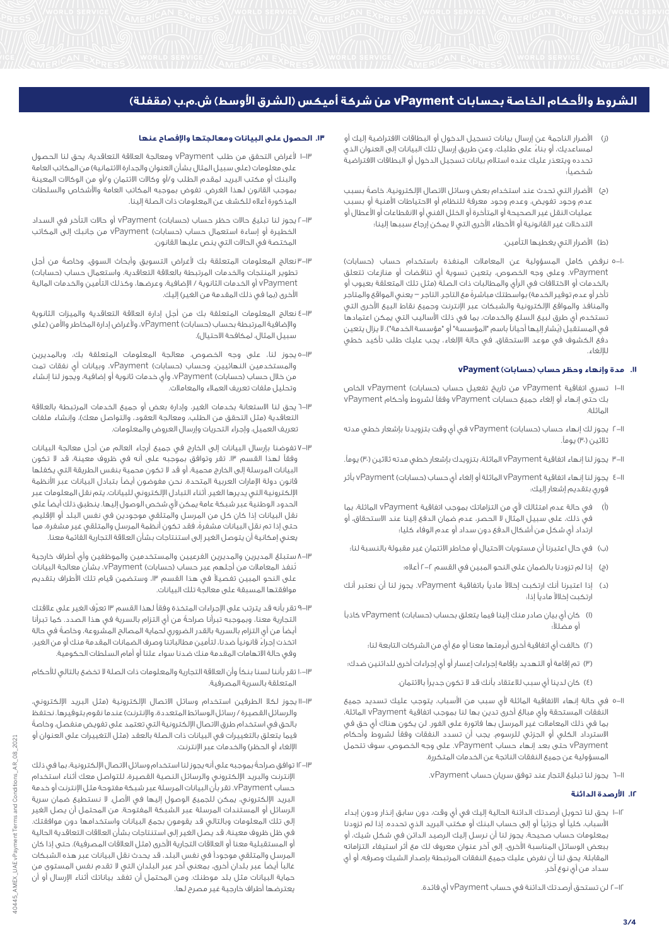# **الشروط واألحكام الخاصة بحسابات vPayment من شركة أميكس )الشرق األوسط( ش.م.ب )مقفلة(**

- )ز( األضرار الناجمة عن إرسال بيانات تسجيل الدخول أو البطاقات االفتراضية إليك أو لمساعديك، أو بناءً على طلبك، وعن طريق إرسال تلك البيانات إلى العنوان الذي تحدده ويتعذر عليك عنده استالم بيانات تسجيل الدخول أو البطاقات االفتراضية شخصياً؛
- )ح( األضرار التي تحدث عند استخدام بعض وسائل االتصال اإللكترونية، خاصةً بسبب عدم وجود تفويض، وعدم وجود معرفة للنظام أو االحتياطات األمنية أو بسبب عمليات النقل غير الصحيحة أو المتأخرة أو الخلل الفني أو االنقطاعات أو األعطال أو التدخالت غير القانونية أو األخطاء األخرى التي ال يمكن إرجاع سببها إلينا؛
	- (ط) الأضرار التي يغطيها التأمين.
- 5-10 نرفض كامل المسؤولية عن المعامالت المنفذة باستخدام حساب )حسابات( vPayment. وعلى وجه الخصوص، يتعين تسوية أي تناقضات أو منازعات تتعلق بالخدمات أو االختالفات في الرأي والمطالبات ذات الصلة )مثل تلك المتعلقة بعيوب أو تأخر أو عدم توفير الخدمة) بواسطتك مباشرةً مع التاجر. التاجر – يعني المواقع والمتاجر والمنافذ والمواقع اإللكترونية والشبكات عبر اإلنترنت وجميع نقاط البيع األخرى التي تستخدم أي طرق لبيع السلع والخدمات، بما في ذلك األساليب التي يمكن اعتمادها في المستقبل (يُشار إليها أحياناً باسم "المؤسسة" أو "مؤسسة الخدمة"). لا يزال يتعين دفع الكشوف في موعد االستحقاق. في حالة اإللغاء، يجب عليك طلب تأكيد خطي لإللغاء.

# **.١١ مدة وإنهاء وحظر حساب )حسابات( vPayment**

- 1-11 تسري اتفاقية vPayment من تاريخ تفعيل حساب )حسابات( vPayment الخاص بك حتى إنهاء أو إلغاء جميع حسابات vPayment وفقاً لشروط وأحكام vPayment الماثلة.
- 2-11 يجوز لك إنهاء حساب )حسابات( vPayment في أي وقت بتزويدنا بإشعار خطي مدته ثلاثين (٣٠) يوماً.
- 3-11 يجوز لنا إنهاء اتفاقية vPayment الماثلة، بتزويدك بإشعار خطي مدته ثالثين )30( يوما.ً
- 4-11 يجوز لنا إنهاء اتفاقية vPayment الماثلة أو إلغاء أي حساب )حسابات( vPayment بأثر فوري بتقديم إشعار إليك:
- )أ( في حالة عدم امتثالك أليٍ من التزاماتك بموجب اتفاقية vPayment الماثلة، بما في ذلك، على سبيل المثال ال الحصر، عدم ضمان الدفع إلينا عند االستحقاق، أو ارتداد أي شكل من أشكال الدفع دون سداد أو عدم الوفاء كليا؛
- )ب( في حال اعتبرنا أن مستويات االحتيال أو مخاطر االئتمان غير مقبولة بالنسبة لنا؛
	- )ج( إذا لم تزودنا بالضمان على النحو المبين في القسم 2-2 أعاله؛
- )د( إذا اعتبرنا أنك ارتكبت إخالالً مادياً باتفاقية vPayment. يجوز لنا أن نعتبر أنك ارتكبت إخالالً مادياً إذا:
- )1( كان أي بيان صادر منك إلينا فيما يتعلق بحساب )حسابات( vPayment كاذباً أو مضلالً؛
	- )2( خالفت أي اتفاقية أخرى أبرمتها معنا أو مع أي من الشركات التابعة لنا؛
- )3( تم إقامة أو التهديد بإقامة إجراءات إعسار أو أي إجراءات أخرى للدائنين ضدك؛
	- )4( كان لدينا أي سبب لالعتقاد بأنك قد ال تكون جديراً باالئتمان.
- 5-11 في حالة إنهاء االتفاقية الماثلة ألي سبب من األسباب، يتوجب عليك تسديد جميع النفقات المستحقة وأي مبالغ أخرى تدين بها لنا بموجب اتفاقية vPayment الماثلة، بما في ذلك المعامالت غير المرسل بها فاتورة على الفور. لن يكون هناك أي حق في االسترداد الكلي أو الجزئي للرسوم. يجب أن تسدد النفقات وفقاً لشروط وأحكام vPayment حتى بعد إنهاء حساب vPayment. على وجه الخصوص، سوف تتحمل المسؤولية عن جميع النفقات الناتجة عن الخدمات المتكررة.
	- 6-11 يجوز لنا تبليغ التجار عند توفق سريان حساب vPayment.

# **.12 األرصدة الدائنة**

1-12 يحق لنا تحويل أرصدتك الدائنة الحالية إليك في أي وقت، دون سابق إنذار ودون إبداء األسباب، كلياً أو جزئياً أو إلى حساب البنك أو مكتب البريد الذي تحدده. إذا لم تزودنا بمعلومات حساب صحيحة، يجوز لنا أن نرسل إليك الرصيد الدائن في شكل شيك، أو ببعض الوسائل المناسبة األخرى، إلى آخر عنوان معروف لك مع أثر استيفاء التزاماته المقابلة. يحق لنا أن نفرض عليك جميع النفقات المرتبطة بإصدار الشيك وصرفه، أو أي سداد من أي نوع آخر.

2-12 لن تستحق أرصدتك الدائنة في حساب vPayment أي فائدة.

## **.13 الحصول على البيانات ومعالجتها واإلفصاح عنها**

- 1-13 ألغراض التحقق من طلب vPayment ومعالجة العالقة التعاقدية، يحق لنا الحصول على معلومات (على سبيل المثال بشأن العنوان والجدارة الائتمانية) من المكاتب العامة والبنك أو مكتب البريد لمقدم الطلب و/أو وكاالت االئتمان و/أو من الوكاالت المعينة بموجب القانون لهذا الغرض. تفوض بموجبه المكاتب العامة واألشخاص والسلطات المذكورة أعاله للكشف عن المعلومات ذات الصلة إلينا.
- 2-13 يجوز لنا تبليغ حاالت حظر حساب )حسابات( vPayment أو حاالت التأخر في السداد الخطيرة أو إساءة استعمال حساب (حسابات) vPayment من جانبك إلى المكاتب المختصة في الحاالت التي ينص عليها القانون.
- 3-13 نعالج المعلومات المتعلقة بك ألغراض التسويق وأبحاث السوق، وخاصةً من أجل تطوير المنتجات والخدمات المرتبطة بالعلاقة التعاقدية، واستعمال حساب (حسابات) vPayment أو الخدمات الثانوية / اإلضافية، وعرضها، وكذلك التأمين والخدمات المالية الأخرى (بما في ذلك المقدمة من الغير) إليك.
- 4-13 نعالج المعلومات المتعلقة بك من أجل إدارة العالقة التعاقدية والميزات الثانوية واإلضافية المرتبطة بحساب )حسابات( vPayment، وألغراض إدارة المخاطر واألمن )على سبيل المثال، لمكافحة االحتيال(.
- 5-13 يجوز لنا، على وجه الخصوص، معالجة المعلومات المتعلقة بك، وبالمديرين والمستخدمين النهائيين، وحساب )حسابات( vPayment، وبيانات أي نفقات تمت من خلال حساب (حسابات) vPayment، وأي خدمات ثانوية أو إضافية، ويجوز لنا إنشاء وتحليل ملفات تعريف العمالء والمعامالت.
- 6-13 يحق لنا االستعانة بخدمات الغير، وإدارة بعض أو جميع الخدمات المرتبطة بالعالقة التعاقدية (مثل التحقق من الطلب، ومعالجة العقود، والتواصل معك)، وإنشاء ملفات تعريف العميل، وإجراء التحريات وإرسال العروض والمعلومات.
- 7-13 تفوضنا بإرسال البيانات إلى الخارج في جميع أرجاء العالم من أجل معالجة البيانات وفقاً لهذا القسم ١٣. تقر وتوافق بموجبه على أنه في ظروف معينة، قد لا تكون البيانات المرسلة إلى الخارج محمية، أو قد ال تكون محمية بنفس الطريقة التي يكفلها قانون دولة اإلمارات العربية المتحدة. نحن مفوضون أيضاً بتبادل البيانات عبر األنظمة اإللكترونية التي يديرها الغير. أثناء التبادل اإللكتروني للبيانات، يتم نقل المعلومات عبر الحدود الوطنية عبر شبكة عامة يمكن ألي شخص الوصول إليها. ينطبق ذلك أيضاً على نقل البيانات إذا كان كل من المرسل والمتلقي موجودين في نفس البلد أو اإلقليم. حتى إذا تم نقل البيانات مشفرة،ً فقد تكون أنظمة المرسل والمتلقي غير مشفرة، مما يعني إمكانية أن يتوصل الغير إلى استنتاجات بشأن العالقة التجارية القائمة معنا.
- 8-13 ستبلغ المديرين والمديرين الفرعيين والمستخدمين والموظفين وأي أطراف خارجية تُنفذ المعاملات من أجلهم عبر حساب (حسابات) vPayment، بشأن معالجة البيانات على النحو المبين تفصيلاً في هذا القسم ١٣، وستضمن قيام تلك الأطراف بتقديم موافقتها المسبقة على معالجة تلك البيانات.
- 9-13 تقر بأنه قد يترتب على اإلجراءات المتخذة وفقاً لهذا القسم 13 تعرّف الغير على عالقتك التجارية معنا، وبموجبه تبرأنا صراحةً من أي التزام بالسرية في هذا الصدد. كما تبرأنا أيضاً من أي التزام بالسرية بالقدر الضروري لحماية المصالح المشروعة، وخاصةً في حالة اتخذت إجراءً قانونياً ضدنا، لتأمين مطالباتنا وصرف الضمانات المقدمة منك أو من الغير، وفي حالة االتهامات المقدمة منك ضدنا سواء علنا أو أمام السلطات الحكومية.
- 10-13 تقر بأننا لسنا بنكاً وأن العالقة التجارية والمعلومات ذات الصلة ال تخضع بالتالي لألحكام المتعلقة بالسرية المصرفية.
- 11-13 يجوز لكال الطرفين استخدام وسائل االتصال اإللكترونية )مثل البريد اإللكتروني، والرسائل القصيرة / رسائل الوسائط المتعددة، والإنترنت) عندما نقوم بتوفيرها. نحتفظ بالحق في استخدام طرق االتصال اإللكترونية التي تعتمد على تفويض منفصل، وخاصةً فيما يتعلق بالتغييرات في البيانات ذات الصلة بالعقد )مثل التغييرات على العنوان أو الإلغاء أو الحظر) والخدمات عبر الإنترنت.
- 12-13 توافق صراحةً بموجبه على أنه يجوز لنا استخدام وسائل االتصال اإللكترونية، بما في ذلك اإلنترنت والبريد اإللكتروني والرسائل النصية القصيرة، للتواصل معك أثناء استخدام حساب vPayment. تقر بأن البيانات المرسلة عبر شبكة مفتوحة مثل اإلنترنت أو خدمة البريد اإللكتروني، يمكن للجميع الوصول إليها في األصل. ال نستطيع ضمان سرية الرسائل أو المستندات المرسلة عبر الشبكة المفتوحة. من المحتمل أن يصل الغير إلى تلك المعلومات وبالتالي قد يقومون بجمع البيانات واستخدامها دون موافقتك. في ظل ظروف معينة، قد يصل الغير إلى استنتاجات بشأن العالقات التعاقدية الحالية أو المستقبلية معنا أو العلاقات التجارية الأخرى (مثل العلاقات المصرفية). حتى إذا كان المرسل والمتلقي موجوداً في نفس البلد، قد يحدث نقل البيانات عبر هذه الشبكات غالباً أيضاً عبر بلدان أخرى، بمعنى آخر عبر البلدان التي ال تقدم نفس المستوى من حماية البيانات مثل بلد موطنك. ومن المحتمل أن تفقد بياناتك أثناء اإلرسال أو أن يعترضها أطراف خارجية غير مصرح لها.